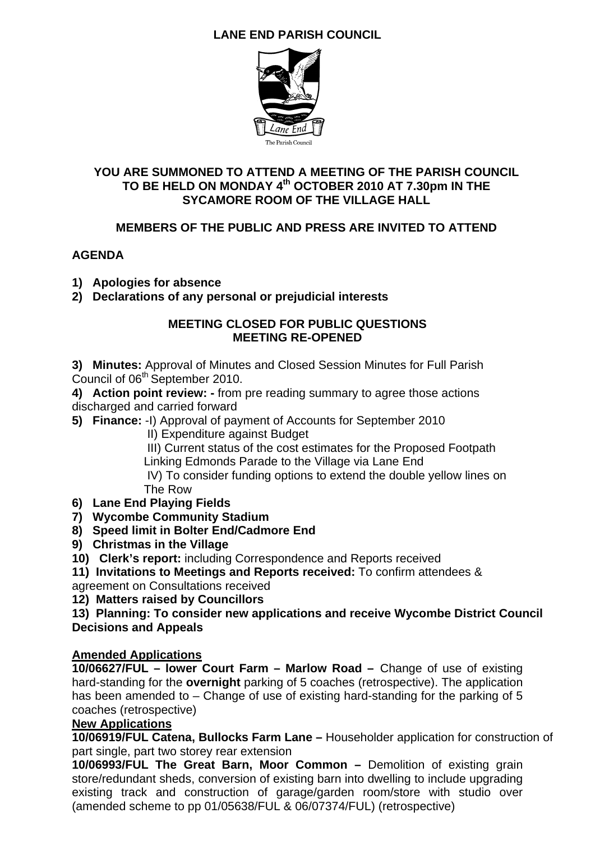## **LANE END PARISH COUNCIL**



## **YOU ARE SUMMONED TO ATTEND A MEETING OF THE PARISH COUNCIL TO BE HELD ON MONDAY 4th OCTOBER 2010 AT 7.30pm IN THE SYCAMORE ROOM OF THE VILLAGE HALL**

## **MEMBERS OF THE PUBLIC AND PRESS ARE INVITED TO ATTEND**

## **AGENDA**

- **1) Apologies for absence**
- **2) Declarations of any personal or prejudicial interests**

#### **MEETING CLOSED FOR PUBLIC QUESTIONS MEETING RE-OPENED**

**3) Minutes:** Approval of Minutes and Closed Session Minutes for Full Parish Council of 06<sup>th</sup> September 2010.

**4) Action point review: -** from pre reading summary to agree those actions discharged and carried forward

- **5) Finance:** -I) Approval of payment of Accounts for September 2010
	- II) Expenditure against Budget

III) Current status of the cost estimates for the Proposed Footpath

Linking Edmonds Parade to the Village via Lane End

 IV) To consider funding options to extend the double yellow lines on The Row

- **6) Lane End Playing Fields**
- **7) Wycombe Community Stadium**
- **8) Speed limit in Bolter End/Cadmore End**
- **9) Christmas in the Village**
- **10) Clerk's report:** including Correspondence and Reports received

**11) Invitations to Meetings and Reports received:** To confirm attendees & agreement on Consultations received

**12) Matters raised by Councillors** 

**13) Planning: To consider new applications and receive Wycombe District Council Decisions and Appeals** 

### **Amended Applications**

**10/06627/FUL – lower Court Farm – Marlow Road –** Change of use of existing hard-standing for the **overnight** parking of 5 coaches (retrospective). The application has been amended to – Change of use of existing hard-standing for the parking of 5 coaches (retrospective)

## **New Applications**

**10/06919/FUL Catena, Bullocks Farm Lane –** Householder application for construction of part single, part two storey rear extension

**10/06993/FUL The Great Barn, Moor Common –** Demolition of existing grain store/redundant sheds, conversion of existing barn into dwelling to include upgrading existing track and construction of garage/garden room/store with studio over (amended scheme to pp 01/05638/FUL & 06/07374/FUL) (retrospective)